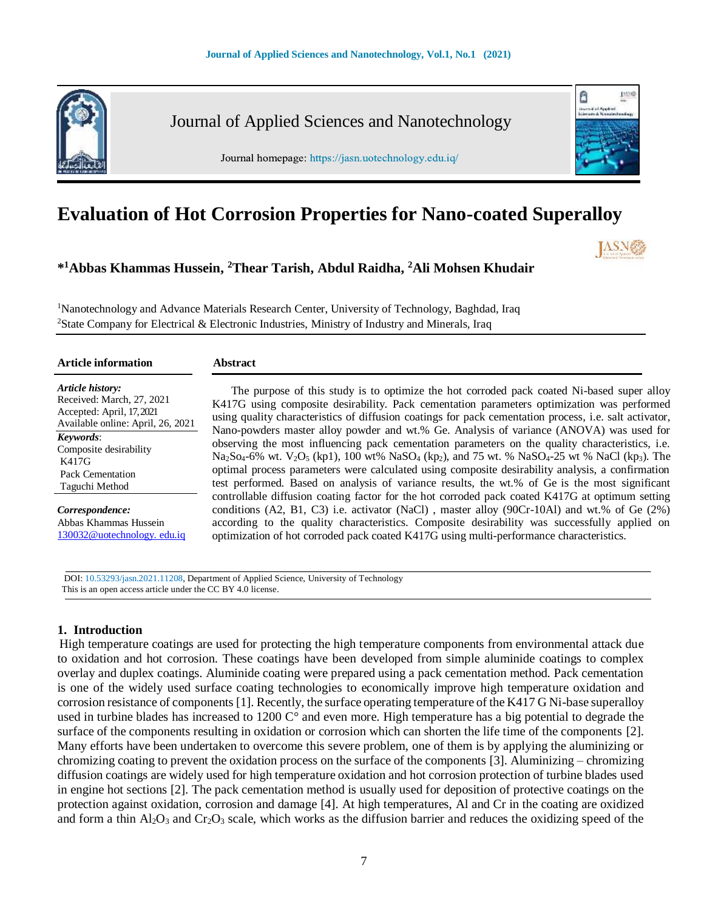

Journal of Applied Sciences and Nanotechnology

Journal homepage: https://jasn.uotechnology.edu.iq/



# **Evaluation of Hot Corrosion Properties for Nano-coated Superalloy**

**\* <sup>1</sup>Abbas Khammas Hussein, <sup>2</sup>Thear Tarish, Abdul Raidha, <sup>2</sup>Ali Mohsen Khudair** 

<sup>1</sup>Nanotechnology and Advance Materials Research Center, University of Technology, Baghdad, Iraq <sup>2</sup>State Company for Electrical & Electronic Industries, Ministry of Industry and Minerals, Iraq

| <b>Article information</b>                                                                                                   | <b>Abstract</b>                                                                                                                                                                                                                                                                                                                                                                                                                                                                                  |
|------------------------------------------------------------------------------------------------------------------------------|--------------------------------------------------------------------------------------------------------------------------------------------------------------------------------------------------------------------------------------------------------------------------------------------------------------------------------------------------------------------------------------------------------------------------------------------------------------------------------------------------|
| Article history:<br>Received: March, 27, 2021<br>Accepted: April, 17, 2021<br>Available online: April, 26, 2021<br>Keywords: | The purpose of this study is to optimize the hot corroded pack coated Ni-based super alloy<br>K417G using composite desirability. Pack cementation parameters optimization was performed<br>using quality characteristics of diffusion coatings for pack cementation process, i.e. salt activator,<br>Nano-powders master alloy powder and wt.% Ge. Analysis of variance (ANOVA) was used for<br>observing the most influencing pack cementation parameters on the quality characteristics, i.e. |
| Composite desirability<br>K417G<br>Pack Cementation<br>Taguchi Method                                                        | $Na_2So_4-6\%$ wt. $V_2O_5$ (kp1), 100 wt% $NaSO_4$ (kp <sub>2</sub> ), and 75 wt. % $NaSO_4-25$ wt % $NaCl$ (kp <sub>3</sub> ). The<br>optimal process parameters were calculated using composite desirability analysis, a confirmation<br>test performed. Based on analysis of variance results, the wt.% of Ge is the most significant                                                                                                                                                        |
| Correspondence:<br>Abbas Khammas Hussein<br>130032@uotechnology.edu.iq                                                       | controllable diffusion coating factor for the hot corroded pack coated K417G at optimum setting<br>conditions (A2, B1, C3) i.e. activator (NaCl), master alloy (90Cr-10Al) and wt.% of Ge (2%)<br>according to the quality characteristics. Composite desirability was successfully applied on<br>optimization of hot corroded pack coated K417G using multi-performance characteristics.                                                                                                        |

 DOI: 10.53293/jasn.2021.11208, Department of Applied Science, University of Technology This is an open access article under the CC BY 4.0 license.

## **1. Introduction**

High temperature coatings are used for protecting the high temperature components from environmental attack due to oxidation and hot corrosion. These coatings have been developed from simple aluminide coatings to complex overlay and duplex coatings. Aluminide coating were prepared using a pack cementation method. Pack cementation is one of the widely used surface coating technologies to economically improve high temperature oxidation and corrosion resistance of components [1]. Recently, the surface operating temperature of the K417 G Ni-base superalloy used in turbine blades has increased to 1200 C° and even more. High temperature has a big potential to degrade the surface of the components resulting in oxidation or corrosion which can shorten the life time of the components [2]. Many efforts have been undertaken to overcome this severe problem, one of them is by applying the aluminizing or chromizing coating to prevent the oxidation process on the surface of the components [3]. Aluminizing – chromizing diffusion coatings are widely used for high temperature oxidation and hot corrosion protection of turbine blades used in engine hot sections [2]. The pack cementation method is usually used for deposition of protective coatings on the protection against oxidation, corrosion and damage [4]. At high temperatures, Al and Cr in the coating are oxidized and form a thin  $A_1_2O_3$  and  $Cr_2O_3$  scale, which works as the diffusion barrier and reduces the oxidizing speed of the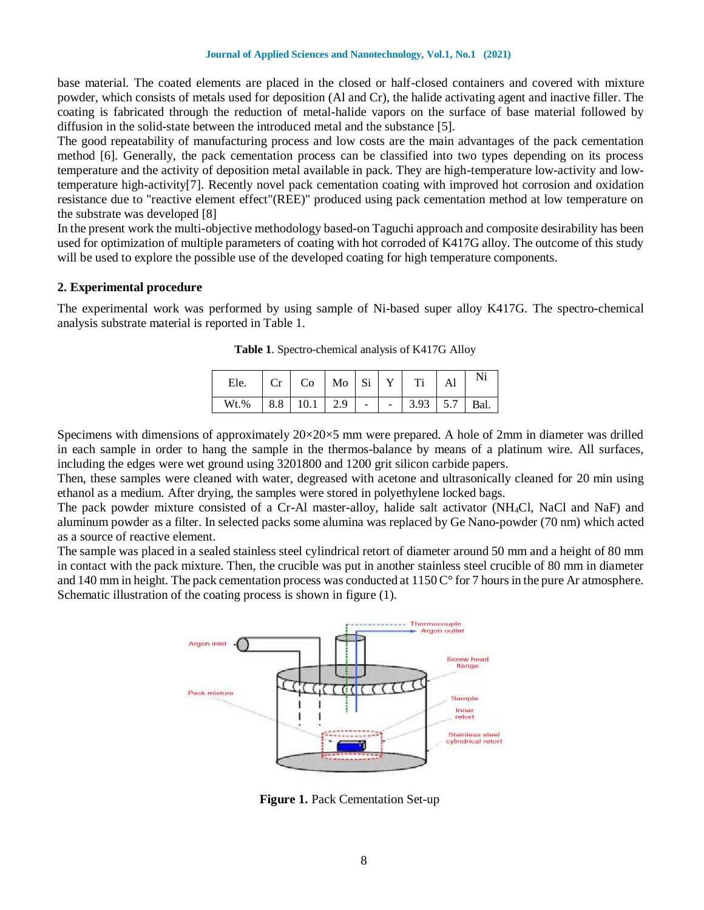base material. The coated elements are placed in the closed or half-closed containers and covered with mixture powder, which consists of metals used for deposition (Al and Cr), the halide activating agent and inactive filler. The coating is fabricated through the reduction of metal-halide vapors on the surface of base material followed by diffusion in the solid-state between the introduced metal and the substance [5].

The good repeatability of manufacturing process and low costs are the main advantages of the pack cementation method [6]. Generally, the pack cementation process can be classified into two types depending on its process temperature and the activity of deposition metal available in pack. They are high-temperature low-activity and lowtemperature high-activity[7]. Recently novel pack cementation coating with improved hot corrosion and oxidation resistance due to "reactive element effect"(REE)" produced using pack cementation method at low temperature on the substrate was developed [8]

In the present work the multi-objective methodology based-on Taguchi approach and composite desirability has been used for optimization of multiple parameters of coating with hot corroded of K417G alloy. The outcome of this study will be used to explore the possible use of the developed coating for high temperature components.

## **2. Experimental procedure**

The experimental work was performed by using sample of Ni-based super alloy K417G. The spectro-chemical analysis substrate material is reported in Table 1.

| Ele.    |                |        |                |            | $\mathbf{Al}$ | Ni   |
|---------|----------------|--------|----------------|------------|---------------|------|
| $Wt.\%$ | $8.8$ 10.1 2.9 | $\sim$ | $\sim 10^{-1}$ | $3.93$ 5.7 |               | Bal. |

**Table 1**. Spectro-chemical analysis of K417G Alloy

Specimens with dimensions of approximately  $20 \times 20 \times 5$  mm were prepared. A hole of 2mm in diameter was drilled in each sample in order to hang the sample in the thermos-balance by means of a platinum wire. All surfaces, including the edges were wet ground using 3201800 and 1200 grit silicon carbide papers.

Then, these samples were cleaned with water, degreased with acetone and ultrasonically cleaned for 20 min using ethanol as a medium. After drying, the samples were stored in polyethylene locked bags.

The pack powder mixture consisted of a Cr-Al master-alloy, halide salt activator (NH4Cl, NaCl and NaF) and aluminum powder as a filter. In selected packs some alumina was replaced by Ge Nano-powder (70 nm) which acted as a source of reactive element.

The sample was placed in a sealed stainless steel cylindrical retort of diameter around 50 mm and a height of 80 mm in contact with the pack mixture. Then, the crucible was put in another stainless steel crucible of 80 mm in diameter and 140 mm in height. The pack cementation process was conducted at  $1150^{\circ}$  for 7 hours in the pure Ar atmosphere. Schematic illustration of the coating process is shown in figure (1).



**Figure 1.** Pack Cementation Set-up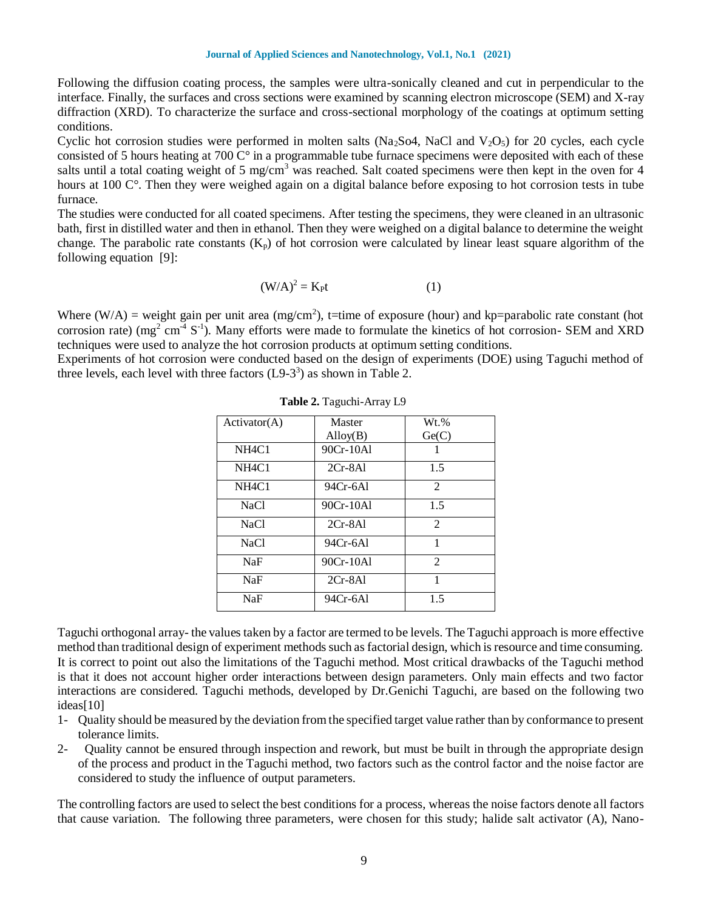#### **Journal of Applied Sciences and Nanotechnology, Vol.1, No.1 (2021)**

Following the diffusion coating process, the samples were ultra-sonically cleaned and cut in perpendicular to the interface. Finally, the surfaces and cross sections were examined by scanning electron microscope (SEM) and X-ray diffraction (XRD). To characterize the surface and cross-sectional morphology of the coatings at optimum setting conditions.

Cyclic hot corrosion studies were performed in molten salts (Na<sub>2</sub>So4, NaCl and V<sub>2</sub>O<sub>5</sub>) for 20 cycles, each cycle consisted of 5 hours heating at 700  $\mathrm{C}^\circ$  in a programmable tube furnace specimens were deposited with each of these salts until a total coating weight of 5 mg/cm<sup>3</sup> was reached. Salt coated specimens were then kept in the oven for 4 hours at 100 C°. Then they were weighed again on a digital balance before exposing to hot corrosion tests in tube furnace.

The studies were conducted for all coated specimens. After testing the specimens, they were cleaned in an ultrasonic bath, first in distilled water and then in ethanol. Then they were weighed on a digital balance to determine the weight change. The parabolic rate constants  $(K_p)$  of hot corrosion were calculated by linear least square algorithm of the following equation [9]:

$$
(W/A)^2 = K_P t \tag{1}
$$

Where (W/A) = weight gain per unit area (mg/cm<sup>2</sup>), t=time of exposure (hour) and kp=parabolic rate constant (hot corrosion rate) ( $mg^2$  cm<sup>-4</sup> S<sup>-1</sup>). Many efforts were made to formulate the kinetics of hot corrosion- SEM and XRD techniques were used to analyze the hot corrosion products at optimum setting conditions.

Experiments of hot corrosion were conducted based on the design of experiments (DOE) using Taguchi method of three levels, each level with three factors  $(L9-3^3)$  as shown in Table 2.

| Action(A)                      | Master            | $Wt.$ %        |
|--------------------------------|-------------------|----------------|
|                                | $\text{Alloy}(B)$ | Ge(C)          |
| NH <sub>4</sub> C <sub>1</sub> | 90Cr-10Al         |                |
| NH <sub>4</sub> C <sub>1</sub> | $2Cr-8Al$         | 1.5            |
| NH <sub>4</sub> C <sub>1</sub> | 94Cr-6Al          | 2              |
| <b>NaCl</b>                    | 90Cr-10Al         | 1.5            |
| <b>NaCl</b>                    | $2Cr-8Al$         | $\mathfrak{D}$ |
| <b>NaCl</b>                    | 94Cr-6Al          | 1              |
| NaF                            | 90Cr-10Al         | $\mathfrak{D}$ |
| NaF                            | $2Cr-8Al$         | 1              |
| NaF                            | 94Cr-6A1          | 1.5            |

**Table 2.** Taguchi-Array L9

Taguchi orthogonal array- the values taken by a factor are termed to be levels. The Taguchi approach is more effective method than traditional design of experiment methods such as factorial design, which is resource and time consuming. It is correct to point out also the limitations of the Taguchi method. Most critical drawbacks of the Taguchi method is that it does not account higher order interactions between design parameters. Only main effects and two factor interactions are considered. Taguchi methods, developed by Dr.Genichi Taguchi, are based on the following two ideas[10]

- 1- Quality should be measured by the deviation from the specified target value rather than by conformance to present tolerance limits.
- 2- Quality cannot be ensured through inspection and rework, but must be built in through the appropriate design of the process and product in the Taguchi method, two factors such as the control factor and the noise factor are considered to study the influence of output parameters.

The controlling factors are used to select the best conditions for a process, whereas the noise factors denote all factors that cause variation. The following three parameters, were chosen for this study; halide salt activator (A), Nano-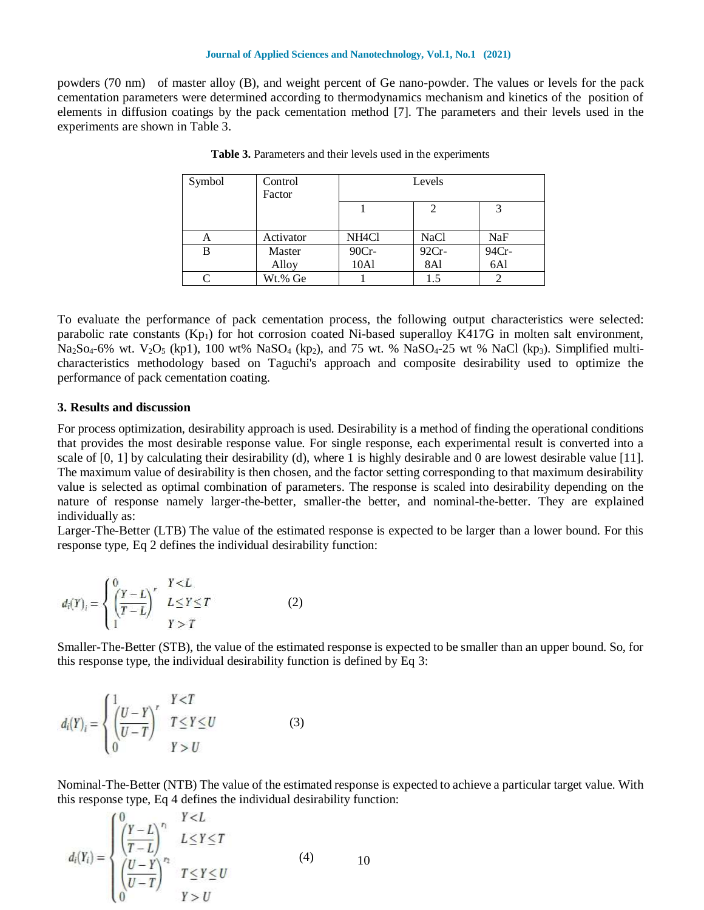#### **Journal of Applied Sciences and Nanotechnology, Vol.1, No.1 (2021)**

powders (70 nm) of master alloy (B), and weight percent of Ge nano-powder. The values or levels for the pack cementation parameters were determined according to thermodynamics mechanism and kinetics of the position of elements in diffusion coatings by the pack cementation method [7]. The parameters and their levels used in the experiments are shown in Table 3.

| Symbol | Control<br>Factor | Levels             |             |       |
|--------|-------------------|--------------------|-------------|-------|
|        |                   |                    |             |       |
| А      | Activator         | NH <sub>4</sub> Cl | <b>NaCl</b> | NaF   |
| B      | Master            | $90Cr -$           | 92Cr-       | 94Cr- |
|        | Alloy             | 10A1               | 8Al         | 6Al   |
|        | Wt.% Ge           |                    | 1.5         |       |

**Table 3.** Parameters and their levels used in the experiments

To evaluate the performance of pack cementation process, the following output characteristics were selected: parabolic rate constants  $(Kp_1)$  for hot corrosion coated Ni-based superalloy K417G in molten salt environment,  $Na_2So_4-6\%$  wt.  $V_2O_5$  (kp1), 100 wt%  $NaSO_4$  (kp<sub>2</sub>), and 75 wt. %  $NaSO_4-25$  wt % NaCl (kp<sub>3</sub>). Simplified multicharacteristics methodology based on Taguchi's approach and composite desirability used to optimize the performance of pack cementation coating.

### **3. Results and discussion**

For process optimization, desirability approach is used. Desirability is a method of finding the operational conditions that provides the most desirable response value. For single response, each experimental result is converted into a scale of  $[0, 1]$  by calculating their desirability (d), where 1 is highly desirable and 0 are lowest desirable value  $[11]$ . The maximum value of desirability is then chosen, and the factor setting corresponding to that maximum desirability value is selected as optimal combination of parameters. The response is scaled into desirability depending on the nature of response namely larger-the-better, smaller-the better, and nominal-the-better. They are explained individually as:

Larger-The-Better (LTB) The value of the estimated response is expected to be larger than a lower bound. For this response type, Eq 2 defines the individual desirability function:

$$
d_i(Y)_i = \begin{cases} 0 & Y < L \\ \left(\frac{Y-L}{T-L}\right)^r & L \le Y \le T \\ 1 & Y > T \end{cases}
$$
 (2)

Smaller-The-Better (STB), the value of the estimated response is expected to be smaller than an upper bound. So, for this response type, the individual desirability function is defined by Eq 3:

$$
d_i(Y)_i = \begin{cases} \frac{1}{U-T} & Y < T \\ \left(\frac{U-T}{U-T}\right)^r & T \le Y \le U \\ 0 & Y > U \end{cases}
$$
 (3)

Nominal-The-Better (NTB) The value of the estimated response is expected to achieve a particular target value. With this response type, Eq 4 defines the individual desirability function:

$$
d_i(Y_i) = \begin{cases} \int_{0}^{0} \left(\frac{Y-L}{T-L}\right)^{r_i} & I \le Y \le T \\ \left(\frac{U-Y}{U-T}\right)^{r_2} & I \le Y \le U \\ 0 & I > U \end{cases} \tag{4}
$$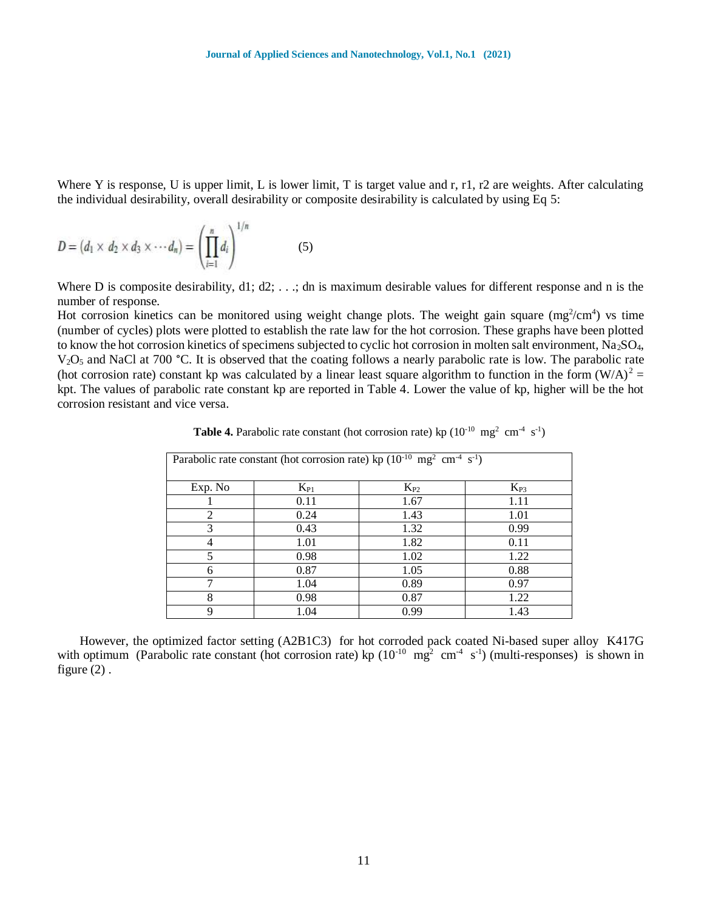Where Y is response, U is upper limit, L is lower limit, T is target value and r, r1, r2 are weights. After calculating the individual desirability, overall desirability or composite desirability is calculated by using Eq 5:

$$
D = (d_1 \times d_2 \times d_3 \times \cdots d_n) = \left(\prod_{i=1}^n d_i\right)^{1/n} \tag{5}
$$

Where D is composite desirability, d1; d2; ...; dn is maximum desirable values for different response and n is the number of response.

Hot corrosion kinetics can be monitored using weight change plots. The weight gain square  $(mg^2/cm^4)$  vs time (number of cycles) plots were plotted to establish the rate law for the hot corrosion. These graphs have been plotted to know the hot corrosion kinetics of specimens subjected to cyclic hot corrosion in molten salt environment, Na<sub>2</sub>SO<sub>4</sub>, V<sub>2</sub>O<sub>5</sub> and NaCl at 700 °C. It is observed that the coating follows a nearly parabolic rate is low. The parabolic rate (hot corrosion rate) constant kp was calculated by a linear least square algorithm to function in the form  $(W/A)^2$  = kpt. The values of parabolic rate constant kp are reported in Table 4. Lower the value of kp, higher will be the hot corrosion resistant and vice versa.

| Parabolic rate constant (hot corrosion rate) kp ( $10^{-10}$ mg <sup>2</sup> cm <sup>-4</sup> s <sup>-1</sup> ) |          |          |          |  |
|-----------------------------------------------------------------------------------------------------------------|----------|----------|----------|--|
| Exp. No                                                                                                         | $K_{P1}$ | $K_{P2}$ | $K_{P3}$ |  |
|                                                                                                                 | 0.11     | 1.67     | 1.11     |  |
| 2                                                                                                               | 0.24     | 1.43     | 1.01     |  |
| 3                                                                                                               | 0.43     | 1.32     | 0.99     |  |
| 4                                                                                                               | 1.01     | 1.82     | 0.11     |  |
| 5                                                                                                               | 0.98     | 1.02     | 1.22     |  |
| 6                                                                                                               | 0.87     | 1.05     | 0.88     |  |
| ⇁                                                                                                               | 1.04     | 0.89     | 0.97     |  |
| 8                                                                                                               | 0.98     | 0.87     | 1.22     |  |
| 9                                                                                                               | 1.04     | 0.99     | 1.43     |  |

**Table 4.** Parabolic rate constant (hot corrosion rate) kp  $(10^{-10} \text{ mg}^2 \text{ cm}^4 \text{ s}^{-1})$ 

 However, the optimized factor setting (A2B1C3) for hot corroded pack coated Ni-based super alloy K417G with optimum (Parabolic rate constant (hot corrosion rate) kp  $(10^{-10} \text{ mg}^2 \text{ cm}^{-4} \text{ s}^{-1})$  (multi-responses) is shown in figure  $(2)$ .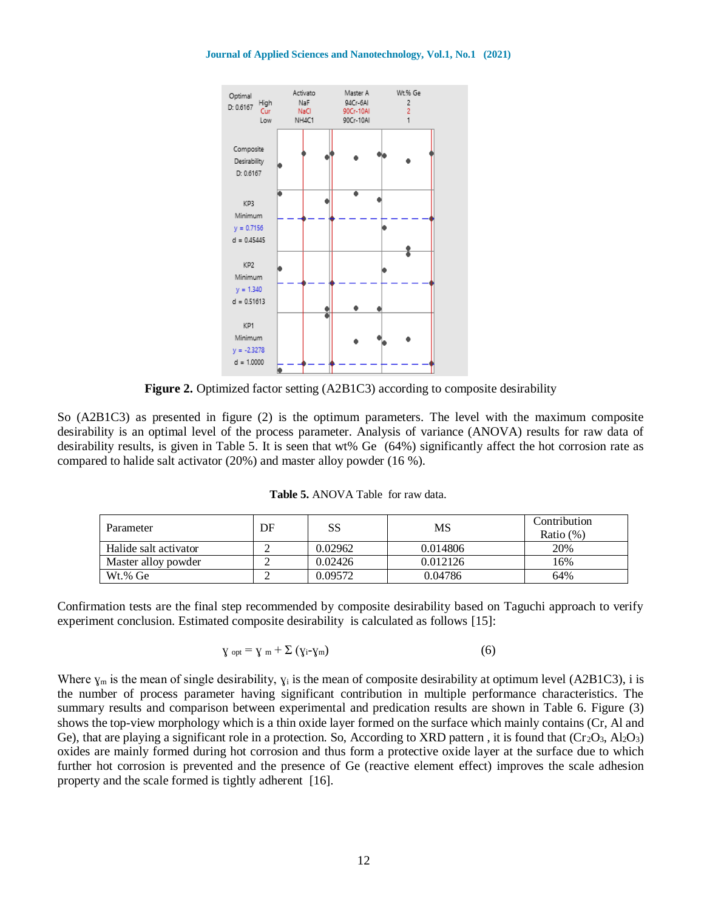**Journal of Applied Sciences and Nanotechnology, Vol.1, No.1 (2021)**



**Figure 2.** Optimized factor setting (A2B1C3) according to composite desirability

So (A2B1C3) as presented in figure (2) is the optimum parameters. The level with the maximum composite desirability is an optimal level of the process parameter. Analysis of variance (ANOVA) results for raw data of desirability results, is given in Table 5. It is seen that wt% Ge (64%) significantly affect the hot corrosion rate as compared to halide salt activator (20%) and master alloy powder (16 %).

| <b>Table 5.</b> ANOVA Table for raw data. |  |
|-------------------------------------------|--|
|                                           |  |

| Parameter             | DF | SS      | MS       | Contribution |
|-----------------------|----|---------|----------|--------------|
|                       |    |         |          | Ratio $(\%)$ |
| Halide salt activator |    | 0.02962 | 0.014806 | 20%          |
| Master alloy powder   |    | 0.02426 | 0.012126 | 16%          |
| Wt.% Ge               |    | 0.09572 | 0.04786  | 64%          |

Confirmation tests are the final step recommended by composite desirability based on Taguchi approach to verify experiment conclusion. Estimated composite desirability is calculated as follows [15]:

$$
\gamma_{opt} = \gamma_m + \Sigma (y_i - \gamma_m) \tag{6}
$$

Where  $\gamma_m$  is the mean of single desirability,  $\gamma_i$  is the mean of composite desirability at optimum level (A2B1C3), i is the number of process parameter having significant contribution in multiple performance characteristics. The summary results and comparison between experimental and predication results are shown in Table 6. Figure (3) shows the top-view morphology which is a thin oxide layer formed on the surface which mainly contains (Cr, Al and Ge), that are playing a significant role in a protection. So, According to XRD pattern, it is found that  $(Cr_2O_3, Al_2O_3)$ oxides are mainly formed during hot corrosion and thus form a protective oxide layer at the surface due to which further hot corrosion is prevented and the presence of Ge (reactive element effect) improves the scale adhesion property and the scale formed is tightly adherent [16].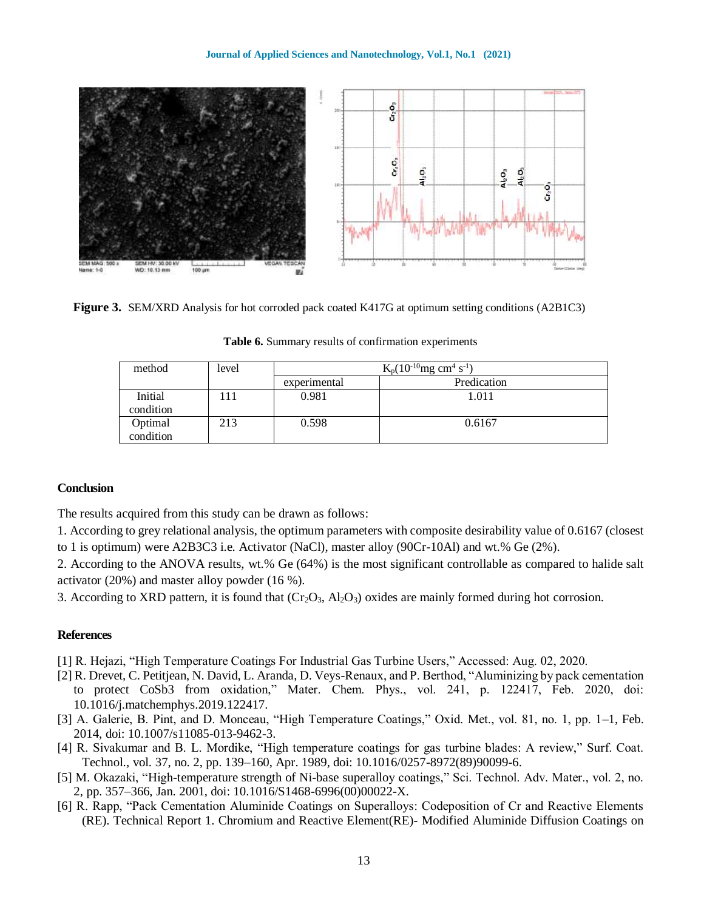

**Figure 3.** SEM/XRD Analysis for hot corroded pack coated K417G at optimum setting conditions (A2B1C3)

| method               | level | $K_p(10^{-10}mg \text{ cm}^4 \text{ s}^{-1})$ |             |  |
|----------------------|-------|-----------------------------------------------|-------------|--|
|                      |       | experimental                                  | Predication |  |
| Initial<br>condition | 11    | 0.981                                         | 1.011       |  |
| Optimal<br>condition | 213   | 0.598                                         | 0.6167      |  |

**Table 6.** Summary results of confirmation experiments

## **Conclusion**

The results acquired from this study can be drawn as follows:

1. According to grey relational analysis, the optimum parameters with composite desirability value of 0.6167 (closest to 1 is optimum) were A2B3C3 i.e. Activator (NaCl), master alloy (90Cr-10Al) and wt.% Ge (2%).

2. According to the ANOVA results, wt.% Ge (64%) is the most significant controllable as compared to halide salt activator (20%) and master alloy powder (16 %).

3. According to XRD pattern, it is found that  $(Cr_2O_3, Al_2O_3)$  oxides are mainly formed during hot corrosion.

# **References**

- [1] R. Hejazi, "High Temperature Coatings For Industrial Gas Turbine Users," Accessed: Aug. 02, 2020.
- [2] R. Drevet, C. Petitjean, N. David, L. Aranda, D. Veys-Renaux, and P. Berthod, "Aluminizing by pack cementation to protect CoSb3 from oxidation," Mater. Chem. Phys., vol. 241, p. 122417, Feb. 2020, doi: 10.1016/j.matchemphys.2019.122417.
- [3] A. Galerie, B. Pint, and D. Monceau, "High Temperature Coatings," Oxid. Met., vol. 81, no. 1, pp. 1–1, Feb. 2014, doi: 10.1007/s11085-013-9462-3.
- [4] R. Sivakumar and B. L. Mordike, "High temperature coatings for gas turbine blades: A review," Surf. Coat. Technol., vol. 37, no. 2, pp. 139–160, Apr. 1989, doi: 10.1016/0257-8972(89)90099-6.
- [5] M. Okazaki, "High-temperature strength of Ni-base superalloy coatings," Sci. Technol. Adv. Mater., vol. 2, no. 2, pp. 357–366, Jan. 2001, doi: 10.1016/S1468-6996(00)00022-X.
- [6] R. Rapp, "Pack Cementation Aluminide Coatings on Superalloys: Codeposition of Cr and Reactive Elements (RE). Technical Report 1. Chromium and Reactive Element(RE)- Modified Aluminide Diffusion Coatings on